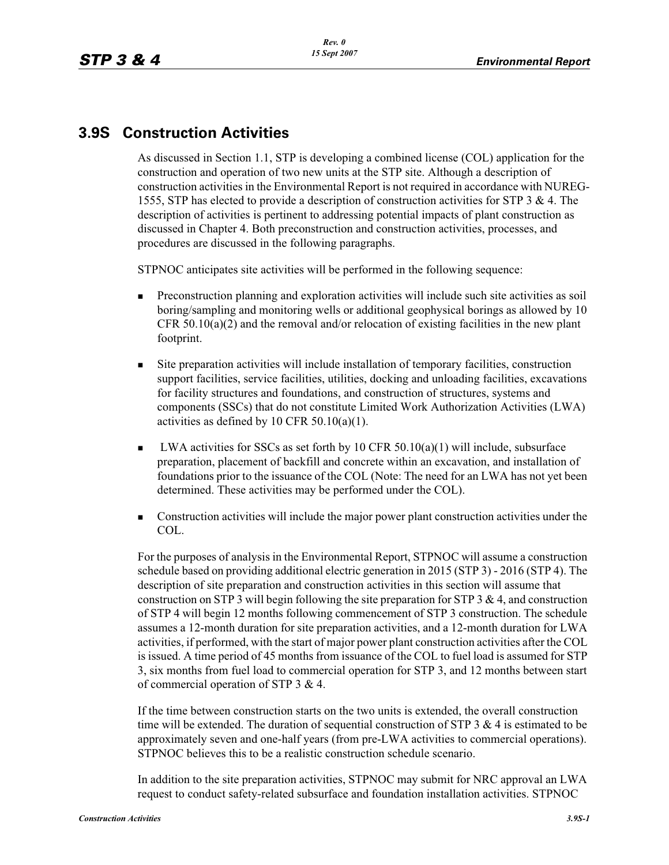# **3.9S Construction Activities**

As discussed in Section 1.1, STP is developing a combined license (COL) application for the construction and operation of two new units at the STP site. Although a description of construction activities in the Environmental Report is not required in accordance with NUREG-1555, STP has elected to provide a description of construction activities for STP 3 & 4. The description of activities is pertinent to addressing potential impacts of plant construction as discussed in Chapter 4. Both preconstruction and construction activities, processes, and procedures are discussed in the following paragraphs.

STPNOC anticipates site activities will be performed in the following sequence:

- - Preconstruction planning and exploration activities will include such site activities as soil boring/sampling and monitoring wells or additional geophysical borings as allowed by 10 CFR 50.10(a)(2) and the removal and/or relocation of existing facilities in the new plant footprint.
- - Site preparation activities will include installation of temporary facilities, construction support facilities, service facilities, utilities, docking and unloading facilities, excavations for facility structures and foundations, and construction of structures, systems and components (SSCs) that do not constitute Limited Work Authorization Activities (LWA) activities as defined by 10 CFR  $50.10(a)(1)$ .
- -LWA activities for SSCs as set forth by  $10 \text{ CFR } 50.10(a)(1)$  will include, subsurface preparation, placement of backfill and concrete within an excavation, and installation of foundations prior to the issuance of the COL (Note: The need for an LWA has not yet been determined. These activities may be performed under the COL).
- - Construction activities will include the major power plant construction activities under the COL.

For the purposes of analysis in the Environmental Report, STPNOC will assume a construction schedule based on providing additional electric generation in 2015 (STP 3) - 2016 (STP 4). The description of site preparation and construction activities in this section will assume that construction on STP 3 will begin following the site preparation for STP 3  $\&$  4, and construction of STP 4 will begin 12 months following commencement of STP 3 construction. The schedule assumes a 12-month duration for site preparation activities, and a 12-month duration for LWA activities, if performed, with the start of major power plant construction activities after the COL is issued. A time period of 45 months from issuance of the COL to fuel load is assumed for STP 3, six months from fuel load to commercial operation for STP 3, and 12 months between start of commercial operation of STP 3 & 4.

If the time between construction starts on the two units is extended, the overall construction time will be extended. The duration of sequential construction of STP  $3 \& 4$  is estimated to be approximately seven and one-half years (from pre-LWA activities to commercial operations). STPNOC believes this to be a realistic construction schedule scenario.

In addition to the site preparation activities, STPNOC may submit for NRC approval an LWA request to conduct safety-related subsurface and foundation installation activities. STPNOC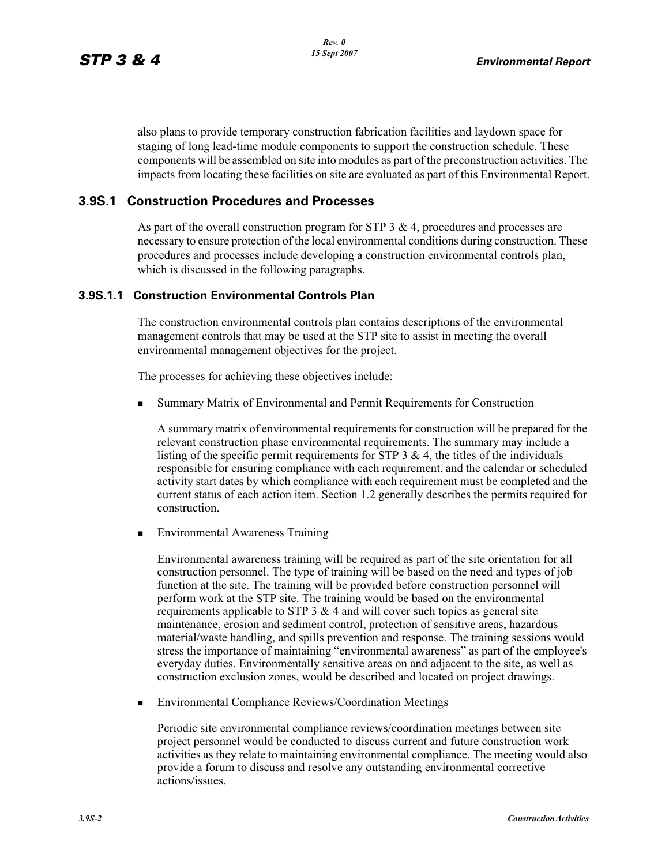also plans to provide temporary construction fabrication facilities and laydown space for staging of long lead-time module components to support the construction schedule. These components will be assembled on site into modules as part of the preconstruction activities. The impacts from locating these facilities on site are evaluated as part of this Environmental Report.

# **3.9S.1 Construction Procedures and Processes**

As part of the overall construction program for  $STP$  3 & 4, procedures and processes are necessary to ensure protection of the local environmental conditions during construction. These procedures and processes include developing a construction environmental controls plan, which is discussed in the following paragraphs.

### **3.9S.1.1 Construction Environmental Controls Plan**

The construction environmental controls plan contains descriptions of the environmental management controls that may be used at the STP site to assist in meeting the overall environmental management objectives for the project.

The processes for achieving these objectives include:

-Summary Matrix of Environmental and Permit Requirements for Construction

A summary matrix of environmental requirements for construction will be prepared for the relevant construction phase environmental requirements. The summary may include a listing of the specific permit requirements for  $STP$  3  $\&$  4, the titles of the individuals responsible for ensuring compliance with each requirement, and the calendar or scheduled activity start dates by which compliance with each requirement must be completed and the current status of each action item. Section 1.2 generally describes the permits required for construction.

-Environmental Awareness Training

Environmental awareness training will be required as part of the site orientation for all construction personnel. The type of training will be based on the need and types of job function at the site. The training will be provided before construction personnel will perform work at the STP site. The training would be based on the environmental requirements applicable to STP 3  $\&$  4 and will cover such topics as general site maintenance, erosion and sediment control, protection of sensitive areas, hazardous material/waste handling, and spills prevention and response. The training sessions would stress the importance of maintaining "environmental awareness" as part of the employee's everyday duties. Environmentally sensitive areas on and adjacent to the site, as well as construction exclusion zones, would be described and located on project drawings.

-Environmental Compliance Reviews/Coordination Meetings

Periodic site environmental compliance reviews/coordination meetings between site project personnel would be conducted to discuss current and future construction work activities as they relate to maintaining environmental compliance. The meeting would also provide a forum to discuss and resolve any outstanding environmental corrective actions/issues.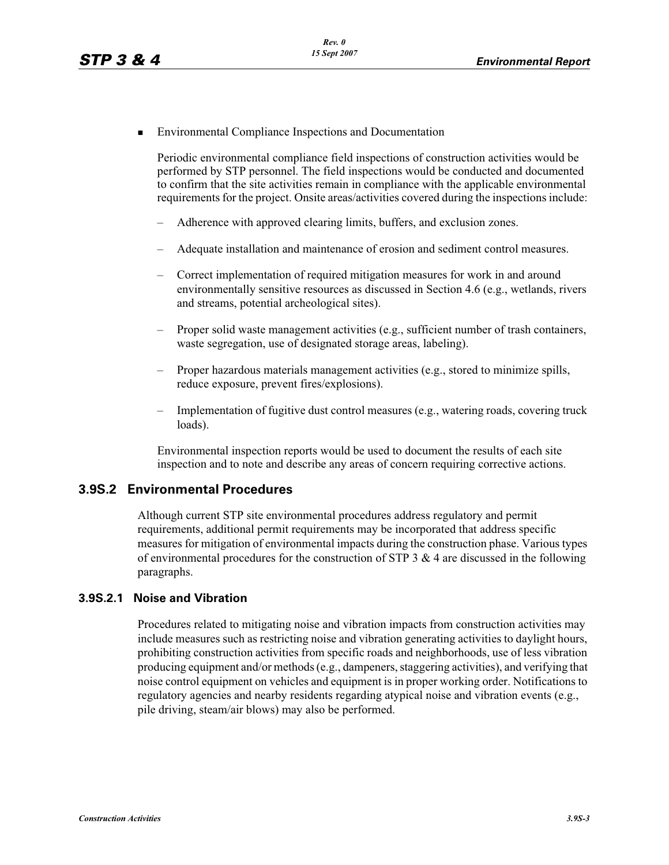-Environmental Compliance Inspections and Documentation

Periodic environmental compliance field inspections of construction activities would be performed by STP personnel. The field inspections would be conducted and documented to confirm that the site activities remain in compliance with the applicable environmental requirements for the project. Onsite areas/activities covered during the inspections include:

- Adherence with approved clearing limits, buffers, and exclusion zones.
- Adequate installation and maintenance of erosion and sediment control measures.
- Correct implementation of required mitigation measures for work in and around environmentally sensitive resources as discussed in Section 4.6 (e.g., wetlands, rivers and streams, potential archeological sites).
- Proper solid waste management activities (e.g., sufficient number of trash containers, waste segregation, use of designated storage areas, labeling).
- Proper hazardous materials management activities (e.g., stored to minimize spills, reduce exposure, prevent fires/explosions).
- Implementation of fugitive dust control measures (e.g., watering roads, covering truck loads).

Environmental inspection reports would be used to document the results of each site inspection and to note and describe any areas of concern requiring corrective actions.

### **3.9S.2 Environmental Procedures**

Although current STP site environmental procedures address regulatory and permit requirements, additional permit requirements may be incorporated that address specific measures for mitigation of environmental impacts during the construction phase. Various types of environmental procedures for the construction of STP  $3 \& 4$  are discussed in the following paragraphs.

### **3.9S.2.1 Noise and Vibration**

Procedures related to mitigating noise and vibration impacts from construction activities may include measures such as restricting noise and vibration generating activities to daylight hours, prohibiting construction activities from specific roads and neighborhoods, use of less vibration producing equipment and/or methods (e.g., dampeners, staggering activities), and verifying that noise control equipment on vehicles and equipment is in proper working order. Notifications to regulatory agencies and nearby residents regarding atypical noise and vibration events (e.g., pile driving, steam/air blows) may also be performed.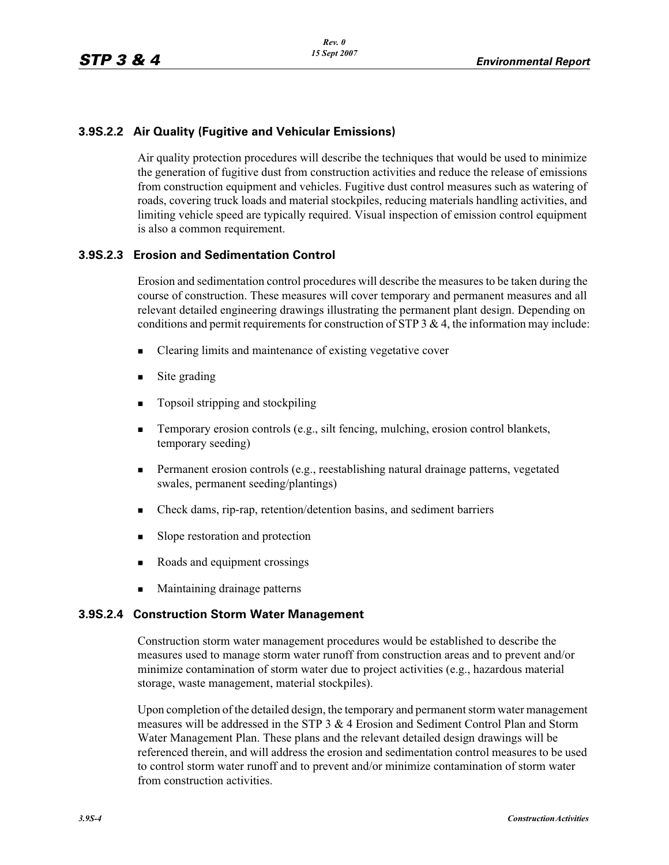### **3.9S.2.2 Air Quality (Fugitive and Vehicular Emissions)**

Air quality protection procedures will describe the techniques that would be used to minimize the generation of fugitive dust from construction activities and reduce the release of emissions from construction equipment and vehicles. Fugitive dust control measures such as watering of roads, covering truck loads and material stockpiles, reducing materials handling activities, and limiting vehicle speed are typically required. Visual inspection of emission control equipment is also a common requirement.

### **3.9S.2.3 Erosion and Sedimentation Control**

Erosion and sedimentation control procedures will describe the measures to be taken during the course of construction. These measures will cover temporary and permanent measures and all relevant detailed engineering drawings illustrating the permanent plant design. Depending on conditions and permit requirements for construction of STP 3 & 4, the information may include:

- -Clearing limits and maintenance of existing vegetative cover
- -Site grading
- -Topsoil stripping and stockpiling
- - Temporary erosion controls (e.g., silt fencing, mulching, erosion control blankets, temporary seeding)
- - Permanent erosion controls (e.g., reestablishing natural drainage patterns, vegetated swales, permanent seeding/plantings)
- -Check dams, rip-rap, retention/detention basins, and sediment barriers
- -Slope restoration and protection
- -Roads and equipment crossings
- Maintaining drainage patterns

### **3.9S.2.4 Construction Storm Water Management**

Construction storm water management procedures would be established to describe the measures used to manage storm water runoff from construction areas and to prevent and/or minimize contamination of storm water due to project activities (e.g., hazardous material storage, waste management, material stockpiles).

Upon completion of the detailed design, the temporary and permanent storm water management measures will be addressed in the STP  $3 \& 4$  Erosion and Sediment Control Plan and Storm Water Management Plan. These plans and the relevant detailed design drawings will be referenced therein, and will address the erosion and sedimentation control measures to be used to control storm water runoff and to prevent and/or minimize contamination of storm water from construction activities.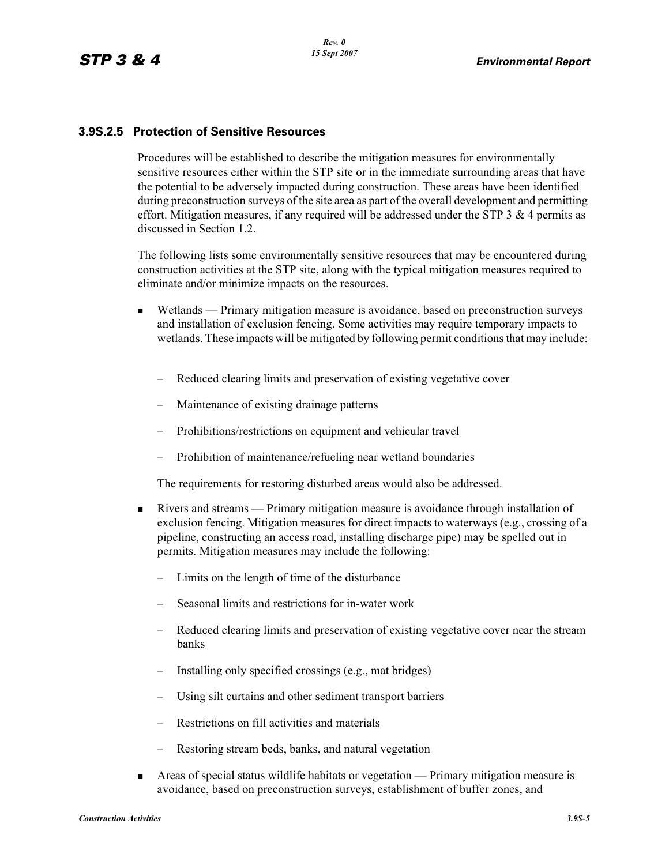### **3.9S.2.5 Protection of Sensitive Resources**

Procedures will be established to describe the mitigation measures for environmentally sensitive resources either within the STP site or in the immediate surrounding areas that have the potential to be adversely impacted during construction. These areas have been identified during preconstruction surveys of the site area as part of the overall development and permitting effort. Mitigation measures, if any required will be addressed under the STP  $3 \& 4$  permits as discussed in Section 1.2.

The following lists some environmentally sensitive resources that may be encountered during construction activities at the STP site, along with the typical mitigation measures required to eliminate and/or minimize impacts on the resources.

- - Wetlands — Primary mitigation measure is avoidance, based on preconstruction surveys and installation of exclusion fencing. Some activities may require temporary impacts to wetlands. These impacts will be mitigated by following permit conditions that may include:
	- Reduced clearing limits and preservation of existing vegetative cover
	- Maintenance of existing drainage patterns
	- Prohibitions/restrictions on equipment and vehicular travel
	- Prohibition of maintenance/refueling near wetland boundaries

The requirements for restoring disturbed areas would also be addressed.

- - Rivers and streams — Primary mitigation measure is avoidance through installation of exclusion fencing. Mitigation measures for direct impacts to waterways (e.g., crossing of a pipeline, constructing an access road, installing discharge pipe) may be spelled out in permits. Mitigation measures may include the following:
	- Limits on the length of time of the disturbance
	- Seasonal limits and restrictions for in-water work
	- Reduced clearing limits and preservation of existing vegetative cover near the stream banks
	- Installing only specified crossings (e.g., mat bridges)
	- Using silt curtains and other sediment transport barriers
	- Restrictions on fill activities and materials
	- Restoring stream beds, banks, and natural vegetation
- - Areas of special status wildlife habitats or vegetation — Primary mitigation measure is avoidance, based on preconstruction surveys, establishment of buffer zones, and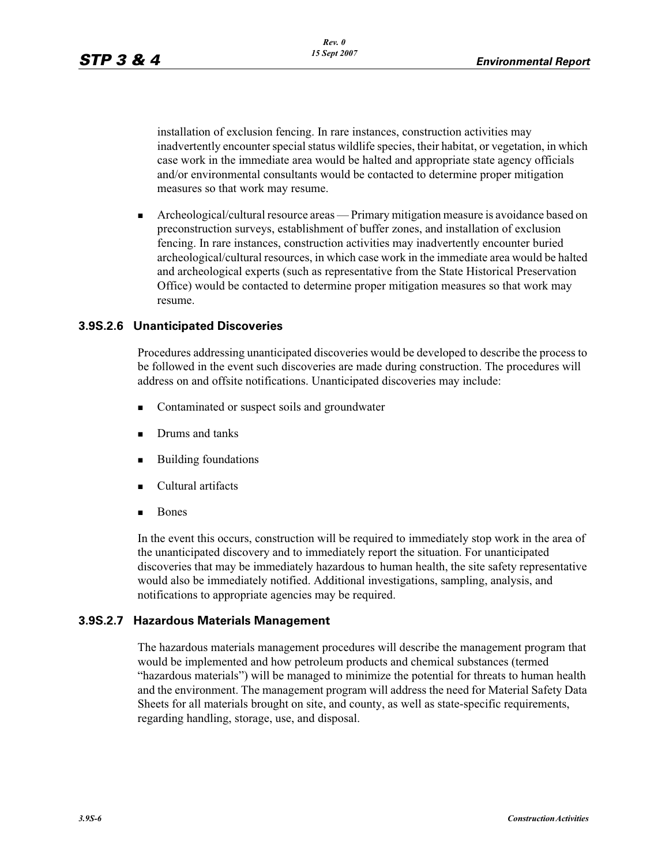installation of exclusion fencing. In rare instances, construction activities may inadvertently encounter special status wildlife species, their habitat, or vegetation, in which case work in the immediate area would be halted and appropriate state agency officials and/or environmental consultants would be contacted to determine proper mitigation measures so that work may resume.

- Archeological/cultural resource areas — Primary mitigation measure is avoidance based on preconstruction surveys, establishment of buffer zones, and installation of exclusion fencing. In rare instances, construction activities may inadvertently encounter buried archeological/cultural resources, in which case work in the immediate area would be halted and archeological experts (such as representative from the State Historical Preservation Office) would be contacted to determine proper mitigation measures so that work may resume.

### **3.9S.2.6 Unanticipated Discoveries**

Procedures addressing unanticipated discoveries would be developed to describe the process to be followed in the event such discoveries are made during construction. The procedures will address on and offsite notifications. Unanticipated discoveries may include:

- -Contaminated or suspect soils and groundwater
- -Drums and tanks
- -Building foundations
- -Cultural artifacts
- -Bones

In the event this occurs, construction will be required to immediately stop work in the area of the unanticipated discovery and to immediately report the situation. For unanticipated discoveries that may be immediately hazardous to human health, the site safety representative would also be immediately notified. Additional investigations, sampling, analysis, and notifications to appropriate agencies may be required.

### **3.9S.2.7 Hazardous Materials Management**

The hazardous materials management procedures will describe the management program that would be implemented and how petroleum products and chemical substances (termed "hazardous materials") will be managed to minimize the potential for threats to human health and the environment. The management program will address the need for Material Safety Data Sheets for all materials brought on site, and county, as well as state-specific requirements, regarding handling, storage, use, and disposal.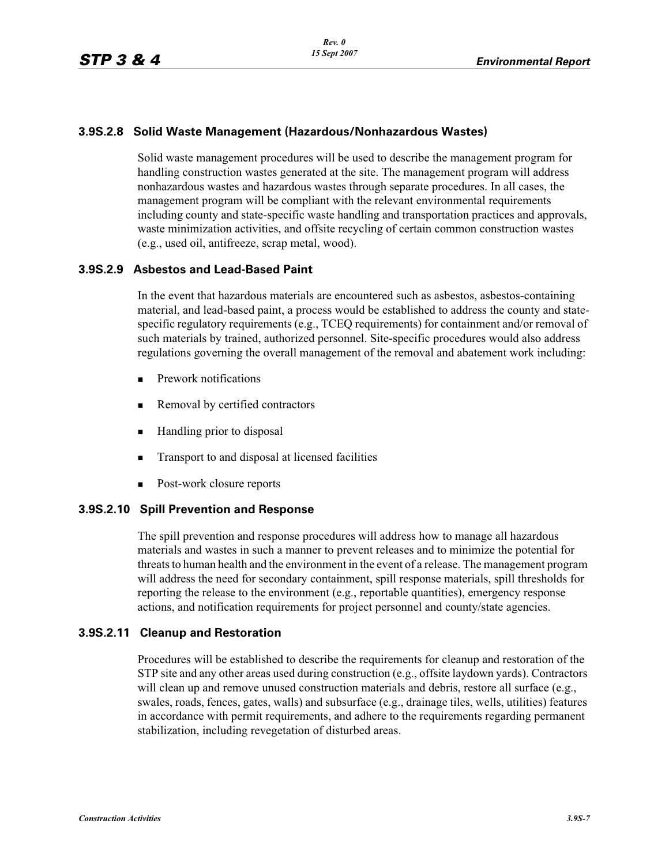### **3.9S.2.8 Solid Waste Management (Hazardous/Nonhazardous Wastes)**

Solid waste management procedures will be used to describe the management program for handling construction wastes generated at the site. The management program will address nonhazardous wastes and hazardous wastes through separate procedures. In all cases, the management program will be compliant with the relevant environmental requirements including county and state-specific waste handling and transportation practices and approvals, waste minimization activities, and offsite recycling of certain common construction wastes (e.g., used oil, antifreeze, scrap metal, wood).

### **3.9S.2.9 Asbestos and Lead-Based Paint**

In the event that hazardous materials are encountered such as asbestos, asbestos-containing material, and lead-based paint, a process would be established to address the county and statespecific regulatory requirements (e.g., TCEQ requirements) for containment and/or removal of such materials by trained, authorized personnel. Site-specific procedures would also address regulations governing the overall management of the removal and abatement work including:

- -Prework notifications
- -Removal by certified contractors
- -Handling prior to disposal
- -Transport to and disposal at licensed facilities
- -Post-work closure reports

### **3.9S.2.10 Spill Prevention and Response**

The spill prevention and response procedures will address how to manage all hazardous materials and wastes in such a manner to prevent releases and to minimize the potential for threats to human health and the environment in the event of a release. The management program will address the need for secondary containment, spill response materials, spill thresholds for reporting the release to the environment (e.g., reportable quantities), emergency response actions, and notification requirements for project personnel and county/state agencies.

### **3.9S.2.11 Cleanup and Restoration**

Procedures will be established to describe the requirements for cleanup and restoration of the STP site and any other areas used during construction (e.g., offsite laydown yards). Contractors will clean up and remove unused construction materials and debris, restore all surface (e.g., swales, roads, fences, gates, walls) and subsurface (e.g., drainage tiles, wells, utilities) features in accordance with permit requirements, and adhere to the requirements regarding permanent stabilization, including revegetation of disturbed areas.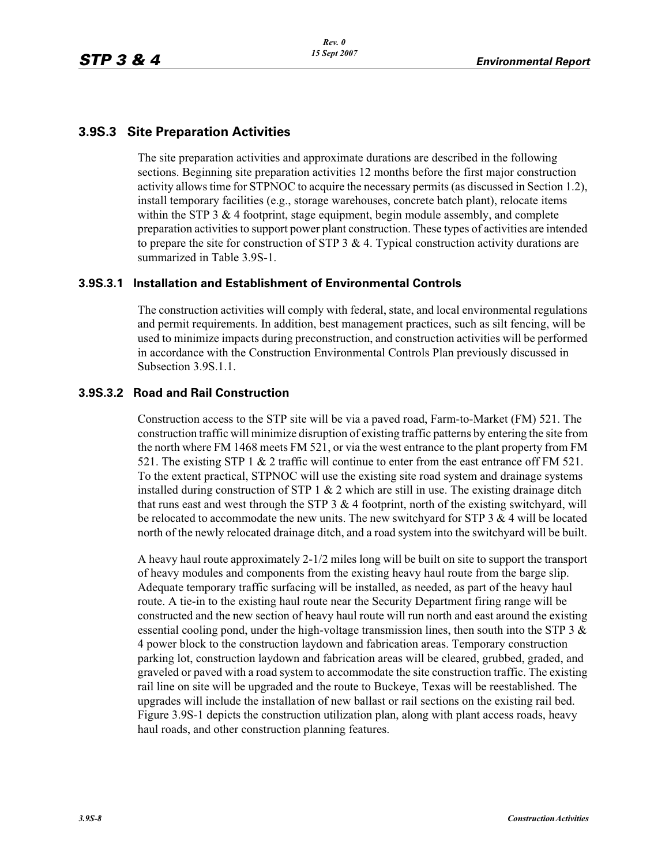# **3.9S.3 Site Preparation Activities**

The site preparation activities and approximate durations are described in the following sections. Beginning site preparation activities 12 months before the first major construction activity allows time for STPNOC to acquire the necessary permits (as discussed in Section 1.2), install temporary facilities (e.g., storage warehouses, concrete batch plant), relocate items within the STP  $3 \& 4$  footprint, stage equipment, begin module assembly, and complete preparation activities to support power plant construction. These types of activities are intended to prepare the site for construction of STP 3  $\&$  4. Typical construction activity durations are summarized in Table 3.9S-1.

### **3.9S.3.1 Installation and Establishment of Environmental Controls**

The construction activities will comply with federal, state, and local environmental regulations and permit requirements. In addition, best management practices, such as silt fencing, will be used to minimize impacts during preconstruction, and construction activities will be performed in accordance with the Construction Environmental Controls Plan previously discussed in Subsection 3.9S.1.1.

### **3.9S.3.2 Road and Rail Construction**

Construction access to the STP site will be via a paved road, Farm-to-Market (FM) 521. The construction traffic will minimize disruption of existing traffic patterns by entering the site from the north where FM 1468 meets FM 521, or via the west entrance to the plant property from FM 521. The existing STP 1 & 2 traffic will continue to enter from the east entrance off FM 521. To the extent practical, STPNOC will use the existing site road system and drainage systems installed during construction of STP 1  $\&$  2 which are still in use. The existing drainage ditch that runs east and west through the STP  $3 \& 4$  footprint, north of the existing switchyard, will be relocated to accommodate the new units. The new switch and for  $STP$  3  $&$  4 will be located north of the newly relocated drainage ditch, and a road system into the switchyard will be built.

A heavy haul route approximately 2-1/2 miles long will be built on site to support the transport of heavy modules and components from the existing heavy haul route from the barge slip. Adequate temporary traffic surfacing will be installed, as needed, as part of the heavy haul route. A tie-in to the existing haul route near the Security Department firing range will be constructed and the new section of heavy haul route will run north and east around the existing essential cooling pond, under the high-voltage transmission lines, then south into the STP 3  $\&$ 4 power block to the construction laydown and fabrication areas. Temporary construction parking lot, construction laydown and fabrication areas will be cleared, grubbed, graded, and graveled or paved with a road system to accommodate the site construction traffic. The existing rail line on site will be upgraded and the route to Buckeye, Texas will be reestablished. The upgrades will include the installation of new ballast or rail sections on the existing rail bed. Figure 3.9S-1 depicts the construction utilization plan, along with plant access roads, heavy haul roads, and other construction planning features.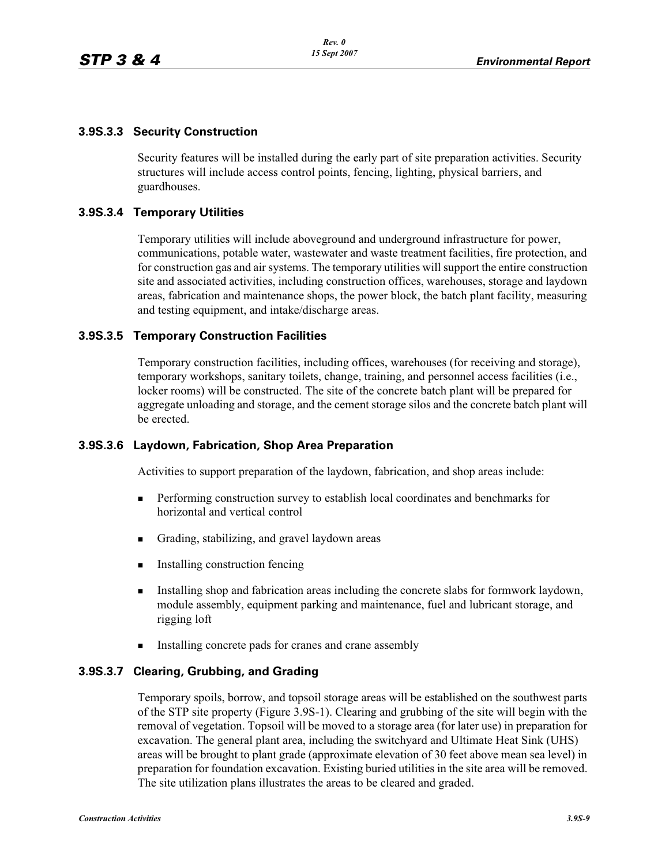### **3.9S.3.3 Security Construction**

Security features will be installed during the early part of site preparation activities. Security structures will include access control points, fencing, lighting, physical barriers, and guardhouses.

### **3.9S.3.4 Temporary Utilities**

Temporary utilities will include aboveground and underground infrastructure for power, communications, potable water, wastewater and waste treatment facilities, fire protection, and for construction gas and air systems. The temporary utilities will support the entire construction site and associated activities, including construction offices, warehouses, storage and laydown areas, fabrication and maintenance shops, the power block, the batch plant facility, measuring and testing equipment, and intake/discharge areas.

### **3.9S.3.5 Temporary Construction Facilities**

Temporary construction facilities, including offices, warehouses (for receiving and storage), temporary workshops, sanitary toilets, change, training, and personnel access facilities (i.e., locker rooms) will be constructed. The site of the concrete batch plant will be prepared for aggregate unloading and storage, and the cement storage silos and the concrete batch plant will be erected.

### **3.9S.3.6 Laydown, Fabrication, Shop Area Preparation**

Activities to support preparation of the laydown, fabrication, and shop areas include:

- - Performing construction survey to establish local coordinates and benchmarks for horizontal and vertical control
- -Grading, stabilizing, and gravel laydown areas
- **Installing construction fencing**
- - Installing shop and fabrication areas including the concrete slabs for formwork laydown, module assembly, equipment parking and maintenance, fuel and lubricant storage, and rigging loft
- -Installing concrete pads for cranes and crane assembly

### **3.9S.3.7 Clearing, Grubbing, and Grading**

Temporary spoils, borrow, and topsoil storage areas will be established on the southwest parts of the STP site property (Figure 3.9S-1). Clearing and grubbing of the site will begin with the removal of vegetation. Topsoil will be moved to a storage area (for later use) in preparation for excavation. The general plant area, including the switchyard and Ultimate Heat Sink (UHS) areas will be brought to plant grade (approximate elevation of 30 feet above mean sea level) in preparation for foundation excavation. Existing buried utilities in the site area will be removed. The site utilization plans illustrates the areas to be cleared and graded.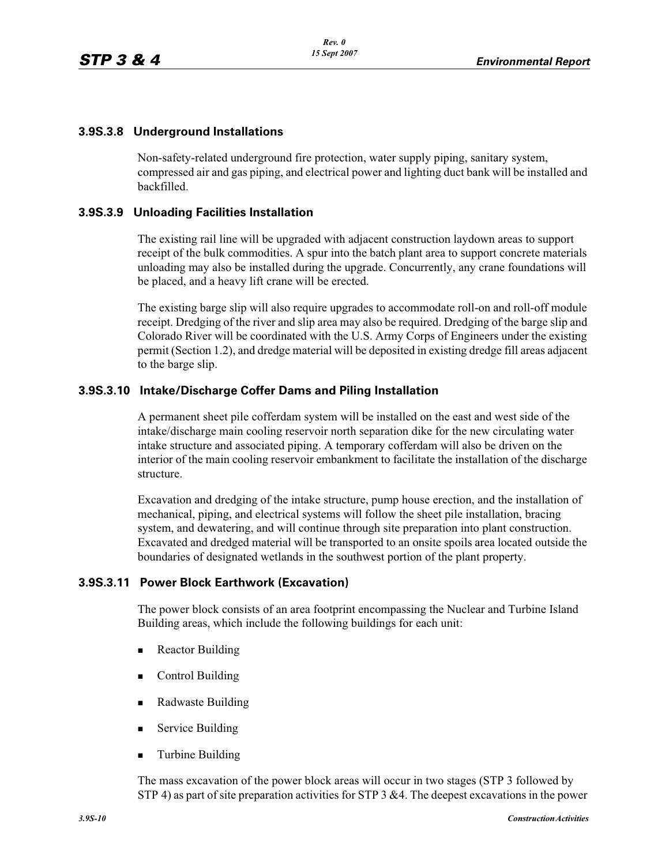### **3.9S.3.8 Underground Installations**

Non-safety-related underground fire protection, water supply piping, sanitary system, compressed air and gas piping, and electrical power and lighting duct bank will be installed and backfilled.

### **3.9S.3.9 Unloading Facilities Installation**

The existing rail line will be upgraded with adjacent construction laydown areas to support receipt of the bulk commodities. A spur into the batch plant area to support concrete materials unloading may also be installed during the upgrade. Concurrently, any crane foundations will be placed, and a heavy lift crane will be erected.

The existing barge slip will also require upgrades to accommodate roll-on and roll-off module receipt. Dredging of the river and slip area may also be required. Dredging of the barge slip and Colorado River will be coordinated with the U.S. Army Corps of Engineers under the existing permit (Section 1.2), and dredge material will be deposited in existing dredge fill areas adjacent to the barge slip.

### **3.9S.3.10 Intake/Discharge Coffer Dams and Piling Installation**

A permanent sheet pile cofferdam system will be installed on the east and west side of the intake/discharge main cooling reservoir north separation dike for the new circulating water intake structure and associated piping. A temporary cofferdam will also be driven on the interior of the main cooling reservoir embankment to facilitate the installation of the discharge structure.

Excavation and dredging of the intake structure, pump house erection, and the installation of mechanical, piping, and electrical systems will follow the sheet pile installation, bracing system, and dewatering, and will continue through site preparation into plant construction. Excavated and dredged material will be transported to an onsite spoils area located outside the boundaries of designated wetlands in the southwest portion of the plant property.

### **3.9S.3.11 Power Block Earthwork (Excavation)**

The power block consists of an area footprint encompassing the Nuclear and Turbine Island Building areas, which include the following buildings for each unit:

- -Reactor Building
- -Control Building
- **Radwaste Building**
- -Service Building
- -Turbine Building

The mass excavation of the power block areas will occur in two stages (STP 3 followed by STP 4) as part of site preparation activities for STP 3 & 4. The deepest excavations in the power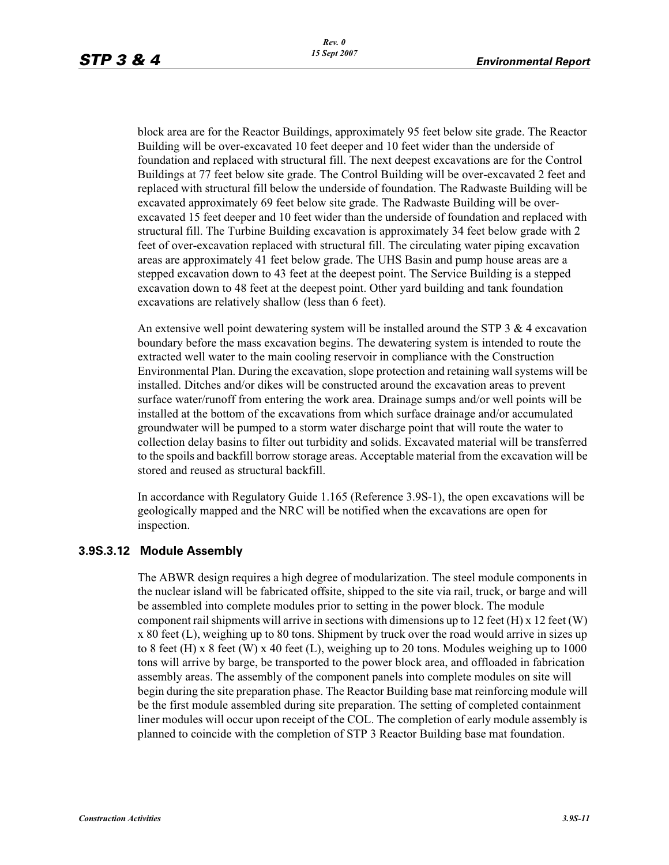block area are for the Reactor Buildings, approximately 95 feet below site grade. The Reactor Building will be over-excavated 10 feet deeper and 10 feet wider than the underside of foundation and replaced with structural fill. The next deepest excavations are for the Control Buildings at 77 feet below site grade. The Control Building will be over-excavated 2 feet and replaced with structural fill below the underside of foundation. The Radwaste Building will be excavated approximately 69 feet below site grade. The Radwaste Building will be overexcavated 15 feet deeper and 10 feet wider than the underside of foundation and replaced with structural fill. The Turbine Building excavation is approximately 34 feet below grade with 2 feet of over-excavation replaced with structural fill. The circulating water piping excavation areas are approximately 41 feet below grade. The UHS Basin and pump house areas are a stepped excavation down to 43 feet at the deepest point. The Service Building is a stepped excavation down to 48 feet at the deepest point. Other yard building and tank foundation excavations are relatively shallow (less than 6 feet).

An extensive well point dewatering system will be installed around the STP  $3 \& 4$  excavation boundary before the mass excavation begins. The dewatering system is intended to route the extracted well water to the main cooling reservoir in compliance with the Construction Environmental Plan. During the excavation, slope protection and retaining wall systems will be installed. Ditches and/or dikes will be constructed around the excavation areas to prevent surface water/runoff from entering the work area. Drainage sumps and/or well points will be installed at the bottom of the excavations from which surface drainage and/or accumulated groundwater will be pumped to a storm water discharge point that will route the water to collection delay basins to filter out turbidity and solids. Excavated material will be transferred to the spoils and backfill borrow storage areas. Acceptable material from the excavation will be stored and reused as structural backfill.

In accordance with Regulatory Guide 1.165 (Reference 3.9S-1), the open excavations will be geologically mapped and the NRC will be notified when the excavations are open for inspection.

### **3.9S.3.12 Module Assembly**

The ABWR design requires a high degree of modularization. The steel module components in the nuclear island will be fabricated offsite, shipped to the site via rail, truck, or barge and will be assembled into complete modules prior to setting in the power block. The module component rail shipments will arrive in sections with dimensions up to 12 feet  $(H)$  x 12 feet  $(W)$ x 80 feet (L), weighing up to 80 tons. Shipment by truck over the road would arrive in sizes up to 8 feet (H) x 8 feet (W) x 40 feet (L), weighing up to 20 tons. Modules weighing up to 1000 tons will arrive by barge, be transported to the power block area, and offloaded in fabrication assembly areas. The assembly of the component panels into complete modules on site will begin during the site preparation phase. The Reactor Building base mat reinforcing module will be the first module assembled during site preparation. The setting of completed containment liner modules will occur upon receipt of the COL. The completion of early module assembly is planned to coincide with the completion of STP 3 Reactor Building base mat foundation.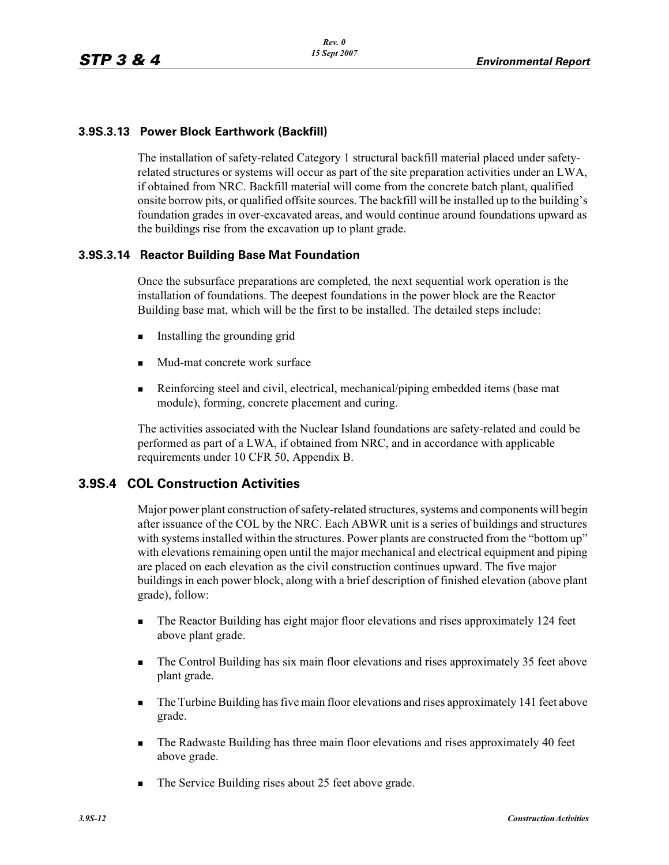### **3.9S.3.13 Power Block Earthwork (Backfill)**

The installation of safety-related Category 1 structural backfill material placed under safetyrelated structures or systems will occur as part of the site preparation activities under an LWA, if obtained from NRC. Backfill material will come from the concrete batch plant, qualified onsite borrow pits, or qualified offsite sources. The backfill will be installed up to the building's foundation grades in over-excavated areas, and would continue around foundations upward as the buildings rise from the excavation up to plant grade.

### **3.9S.3.14 Reactor Building Base Mat Foundation**

Once the subsurface preparations are completed, the next sequential work operation is the installation of foundations. The deepest foundations in the power block are the Reactor Building base mat, which will be the first to be installed. The detailed steps include:

- -Installing the grounding grid
- -Mud-mat concrete work surface
- - Reinforcing steel and civil, electrical, mechanical/piping embedded items (base mat module), forming, concrete placement and curing.

The activities associated with the Nuclear Island foundations are safety-related and could be performed as part of a LWA, if obtained from NRC, and in accordance with applicable requirements under 10 CFR 50, Appendix B.

# **3.9S.4 COL Construction Activities**

Major power plant construction of safety-related structures, systems and components will begin after issuance of the COL by the NRC. Each ABWR unit is a series of buildings and structures with systems installed within the structures. Power plants are constructed from the "bottom up" with elevations remaining open until the major mechanical and electrical equipment and piping are placed on each elevation as the civil construction continues upward. The five major buildings in each power block, along with a brief description of finished elevation (above plant grade), follow:

- - The Reactor Building has eight major floor elevations and rises approximately 124 feet above plant grade.
- - The Control Building has six main floor elevations and rises approximately 35 feet above plant grade.
- - The Turbine Building has five main floor elevations and rises approximately 141 feet above grade.
- - The Radwaste Building has three main floor elevations and rises approximately 40 feet above grade.
- **The Service Building rises about 25 feet above grade.**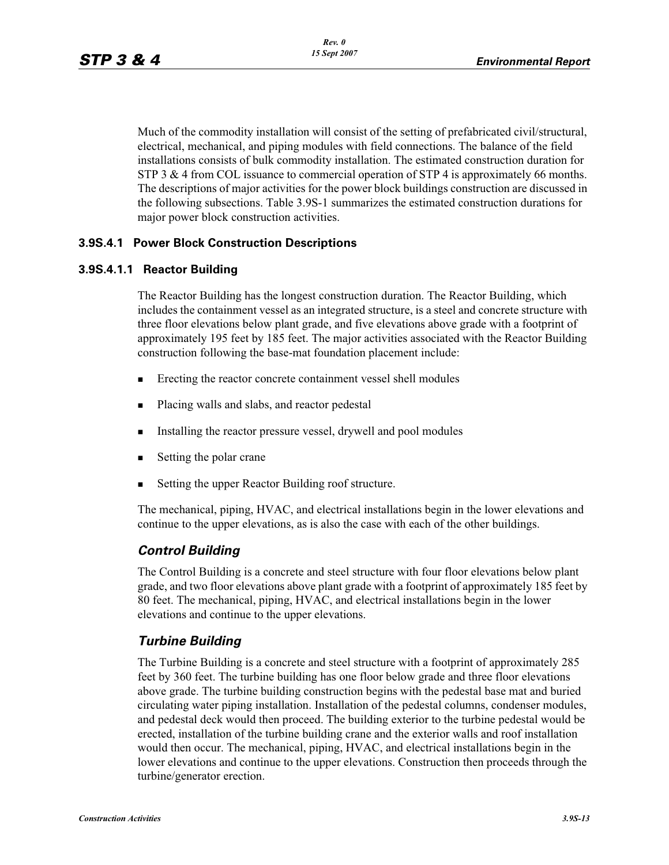Much of the commodity installation will consist of the setting of prefabricated civil/structural, electrical, mechanical, and piping modules with field connections. The balance of the field installations consists of bulk commodity installation. The estimated construction duration for STP 3 & 4 from COL issuance to commercial operation of STP 4 is approximately 66 months. The descriptions of major activities for the power block buildings construction are discussed in the following subsections. Table 3.9S-1 summarizes the estimated construction durations for major power block construction activities.

### **3.9S.4.1 Power Block Construction Descriptions**

### **3.9S.4.1.1 Reactor Building**

The Reactor Building has the longest construction duration. The Reactor Building, which includes the containment vessel as an integrated structure, is a steel and concrete structure with three floor elevations below plant grade, and five elevations above grade with a footprint of approximately 195 feet by 185 feet. The major activities associated with the Reactor Building construction following the base-mat foundation placement include:

- -Erecting the reactor concrete containment vessel shell modules
- -Placing walls and slabs, and reactor pedestal
- -Installing the reactor pressure vessel, drywell and pool modules
- -Setting the polar crane
- -Setting the upper Reactor Building roof structure.

The mechanical, piping, HVAC, and electrical installations begin in the lower elevations and continue to the upper elevations, as is also the case with each of the other buildings.

### *Control Building*

The Control Building is a concrete and steel structure with four floor elevations below plant grade, and two floor elevations above plant grade with a footprint of approximately 185 feet by 80 feet. The mechanical, piping, HVAC, and electrical installations begin in the lower elevations and continue to the upper elevations.

### *Turbine Building*

The Turbine Building is a concrete and steel structure with a footprint of approximately 285 feet by 360 feet. The turbine building has one floor below grade and three floor elevations above grade. The turbine building construction begins with the pedestal base mat and buried circulating water piping installation. Installation of the pedestal columns, condenser modules, and pedestal deck would then proceed. The building exterior to the turbine pedestal would be erected, installation of the turbine building crane and the exterior walls and roof installation would then occur. The mechanical, piping, HVAC, and electrical installations begin in the lower elevations and continue to the upper elevations. Construction then proceeds through the turbine/generator erection.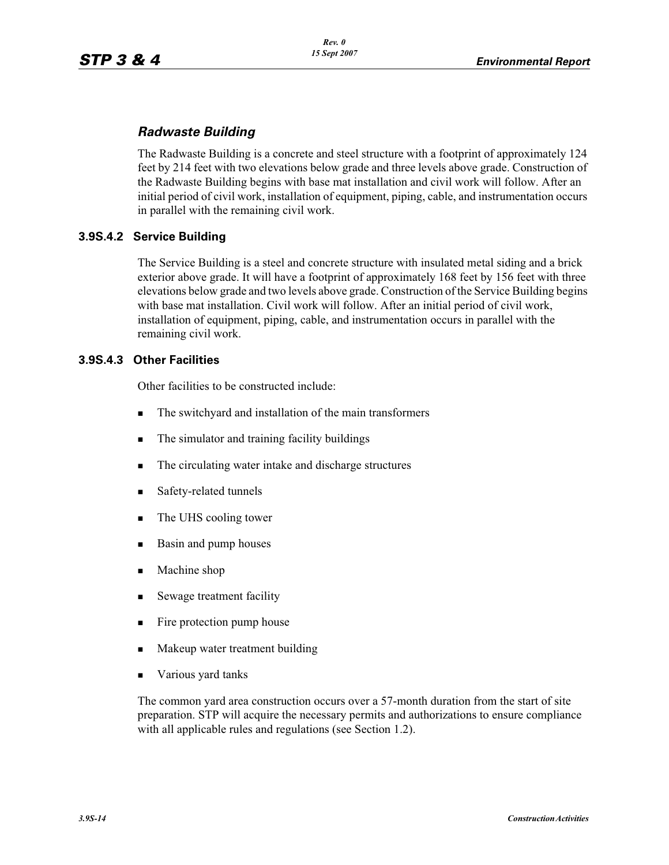# *Radwaste Building*

The Radwaste Building is a concrete and steel structure with a footprint of approximately 124 feet by 214 feet with two elevations below grade and three levels above grade. Construction of the Radwaste Building begins with base mat installation and civil work will follow. After an initial period of civil work, installation of equipment, piping, cable, and instrumentation occurs in parallel with the remaining civil work.

## **3.9S.4.2 Service Building**

The Service Building is a steel and concrete structure with insulated metal siding and a brick exterior above grade. It will have a footprint of approximately 168 feet by 156 feet with three elevations below grade and two levels above grade. Construction of the Service Building begins with base mat installation. Civil work will follow. After an initial period of civil work, installation of equipment, piping, cable, and instrumentation occurs in parallel with the remaining civil work.

### **3.9S.4.3 Other Facilities**

Other facilities to be constructed include:

- -The switchyard and installation of the main transformers
- -The simulator and training facility buildings
- -The circulating water intake and discharge structures
- -Safety-related tunnels
- -The UHS cooling tower
- -Basin and pump houses
- -Machine shop
- -Sewage treatment facility
- -Fire protection pump house
- -Makeup water treatment building
- -Various yard tanks

The common yard area construction occurs over a 57-month duration from the start of site preparation. STP will acquire the necessary permits and authorizations to ensure compliance with all applicable rules and regulations (see Section 1.2).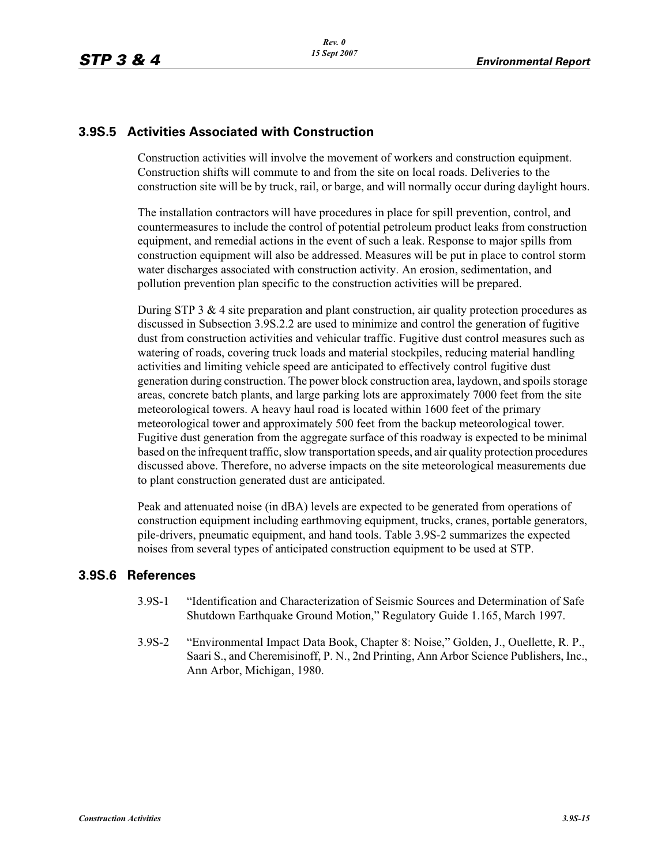# **3.9S.5 Activities Associated with Construction**

Construction activities will involve the movement of workers and construction equipment. Construction shifts will commute to and from the site on local roads. Deliveries to the construction site will be by truck, rail, or barge, and will normally occur during daylight hours.

The installation contractors will have procedures in place for spill prevention, control, and countermeasures to include the control of potential petroleum product leaks from construction equipment, and remedial actions in the event of such a leak. Response to major spills from construction equipment will also be addressed. Measures will be put in place to control storm water discharges associated with construction activity. An erosion, sedimentation, and pollution prevention plan specific to the construction activities will be prepared.

During STP 3  $\&$  4 site preparation and plant construction, air quality protection procedures as discussed in Subsection 3.9S.2.2 are used to minimize and control the generation of fugitive dust from construction activities and vehicular traffic. Fugitive dust control measures such as watering of roads, covering truck loads and material stockpiles, reducing material handling activities and limiting vehicle speed are anticipated to effectively control fugitive dust generation during construction. The power block construction area, laydown, and spoils storage areas, concrete batch plants, and large parking lots are approximately 7000 feet from the site meteorological towers. A heavy haul road is located within 1600 feet of the primary meteorological tower and approximately 500 feet from the backup meteorological tower. Fugitive dust generation from the aggregate surface of this roadway is expected to be minimal based on the infrequent traffic, slow transportation speeds, and air quality protection procedures discussed above. Therefore, no adverse impacts on the site meteorological measurements due to plant construction generated dust are anticipated.

Peak and attenuated noise (in dBA) levels are expected to be generated from operations of construction equipment including earthmoving equipment, trucks, cranes, portable generators, pile-drivers, pneumatic equipment, and hand tools. Table 3.9S-2 summarizes the expected noises from several types of anticipated construction equipment to be used at STP.

# **3.9S.6 References**

- 3.9S-1 "Identification and Characterization of Seismic Sources and Determination of Safe Shutdown Earthquake Ground Motion," Regulatory Guide 1.165, March 1997.
- 3.9S-2 "Environmental Impact Data Book, Chapter 8: Noise," Golden, J., Ouellette, R. P., Saari S., and Cheremisinoff, P. N., 2nd Printing, Ann Arbor Science Publishers, Inc., Ann Arbor, Michigan, 1980.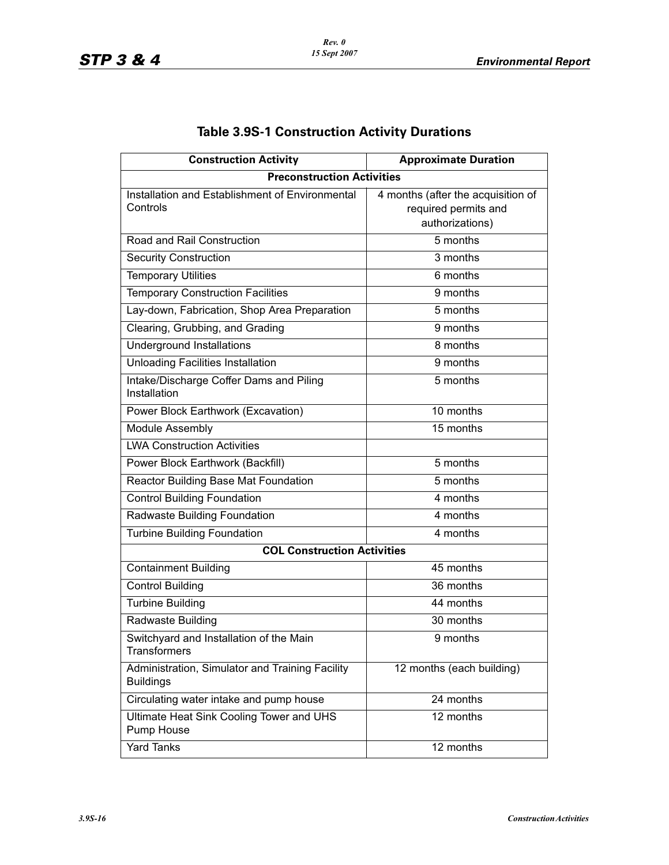| <b>Construction Activity</b>                                        | <b>Approximate Duration</b>                                                   |  |  |  |  |  |  |
|---------------------------------------------------------------------|-------------------------------------------------------------------------------|--|--|--|--|--|--|
| <b>Preconstruction Activities</b>                                   |                                                                               |  |  |  |  |  |  |
| Installation and Establishment of Environmental<br>Controls         | 4 months (after the acquisition of<br>required permits and<br>authorizations) |  |  |  |  |  |  |
| Road and Rail Construction                                          | 5 months                                                                      |  |  |  |  |  |  |
| <b>Security Construction</b>                                        | 3 months                                                                      |  |  |  |  |  |  |
| <b>Temporary Utilities</b>                                          | 6 months                                                                      |  |  |  |  |  |  |
| <b>Temporary Construction Facilities</b>                            | 9 months                                                                      |  |  |  |  |  |  |
| Lay-down, Fabrication, Shop Area Preparation                        | 5 months                                                                      |  |  |  |  |  |  |
| Clearing, Grubbing, and Grading                                     | 9 months                                                                      |  |  |  |  |  |  |
| <b>Underground Installations</b>                                    | 8 months                                                                      |  |  |  |  |  |  |
| <b>Unloading Facilities Installation</b>                            | 9 months                                                                      |  |  |  |  |  |  |
| Intake/Discharge Coffer Dams and Piling<br>Installation             | 5 months                                                                      |  |  |  |  |  |  |
| Power Block Earthwork (Excavation)                                  | 10 months                                                                     |  |  |  |  |  |  |
| <b>Module Assembly</b>                                              | 15 months                                                                     |  |  |  |  |  |  |
| <b>LWA Construction Activities</b>                                  |                                                                               |  |  |  |  |  |  |
| Power Block Earthwork (Backfill)                                    | 5 months                                                                      |  |  |  |  |  |  |
| <b>Reactor Building Base Mat Foundation</b>                         | 5 months                                                                      |  |  |  |  |  |  |
| <b>Control Building Foundation</b>                                  | 4 months                                                                      |  |  |  |  |  |  |
| Radwaste Building Foundation                                        | 4 months                                                                      |  |  |  |  |  |  |
| <b>Turbine Building Foundation</b>                                  | 4 months                                                                      |  |  |  |  |  |  |
| <b>COL Construction Activities</b>                                  |                                                                               |  |  |  |  |  |  |
| <b>Containment Building</b>                                         | 45 months                                                                     |  |  |  |  |  |  |
| <b>Control Building</b>                                             | 36 months                                                                     |  |  |  |  |  |  |
| <b>Turbine Building</b>                                             | 44 months                                                                     |  |  |  |  |  |  |
| Radwaste Building                                                   | 30 months                                                                     |  |  |  |  |  |  |
| Switchyard and Installation of the Main<br><b>Transformers</b>      | 9 months                                                                      |  |  |  |  |  |  |
| Administration, Simulator and Training Facility<br><b>Buildings</b> | 12 months (each building)                                                     |  |  |  |  |  |  |
| Circulating water intake and pump house                             | 24 months                                                                     |  |  |  |  |  |  |
| Ultimate Heat Sink Cooling Tower and UHS<br>Pump House              | 12 months                                                                     |  |  |  |  |  |  |
| <b>Yard Tanks</b>                                                   | 12 months                                                                     |  |  |  |  |  |  |

# **Table 3.9S-1 Construction Activity Durations**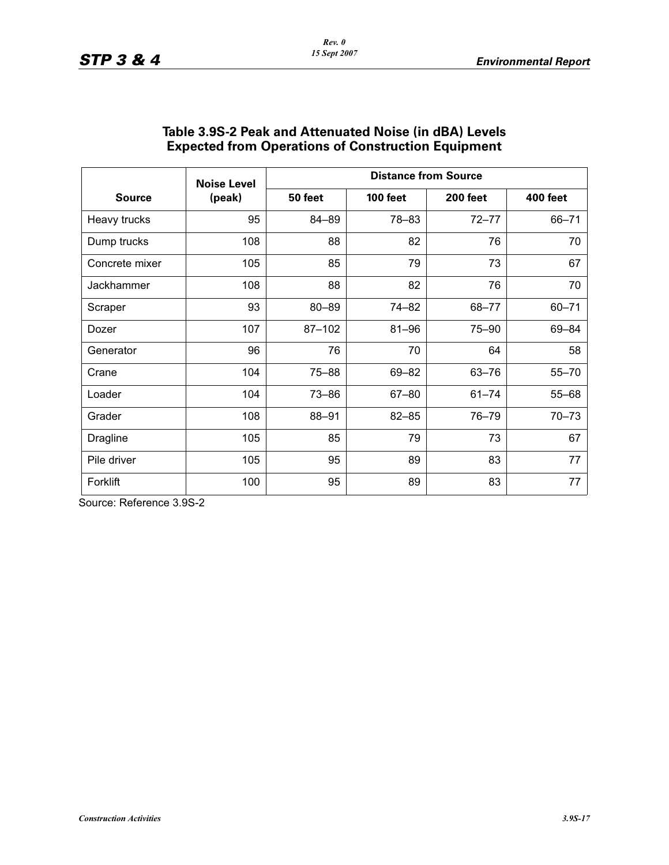| <b>Source</b>  | <b>Noise Level</b><br>(peak) | <b>Distance from Source</b> |                 |                 |                 |
|----------------|------------------------------|-----------------------------|-----------------|-----------------|-----------------|
|                |                              | 50 feet                     | <b>100 feet</b> | <b>200 feet</b> | <b>400 feet</b> |
| Heavy trucks   | 95                           | 84-89                       | 78-83           | $72 - 77$       | $66 - 71$       |
| Dump trucks    | 108                          | 88                          | 82              | 76              | 70              |
| Concrete mixer | 105                          | 85                          | 79              | 73              | 67              |
| Jackhammer     | 108                          | 88                          | 82              | 76              | 70              |
| Scraper        | 93                           | $80 - 89$                   | 74-82           | 68-77           | $60 - 71$       |
| Dozer          | 107                          | 87-102                      | $81 - 96$       | 75-90           | 69-84           |
| Generator      | 96                           | 76                          | 70              | 64              | 58              |
| Crane          | 104                          | $75 - 88$                   | 69-82           | $63 - 76$       | $55 - 70$       |
| Loader         | 104                          | $73 - 86$                   | $67 - 80$       | $61 - 74$       | $55 - 68$       |
| Grader         | 108                          | 88-91                       | $82 - 85$       | 76-79           | $70 - 73$       |
| Dragline       | 105                          | 85                          | 79              | 73              | 67              |
| Pile driver    | 105                          | 95                          | 89              | 83              | 77              |
| Forklift       | 100                          | 95                          | 89              | 83              | 77              |

### **Table 3.9S-2 Peak and Attenuated Noise (in dBA) Levels Expected from Operations of Construction Equipment**

Source: Reference 3.9S-2